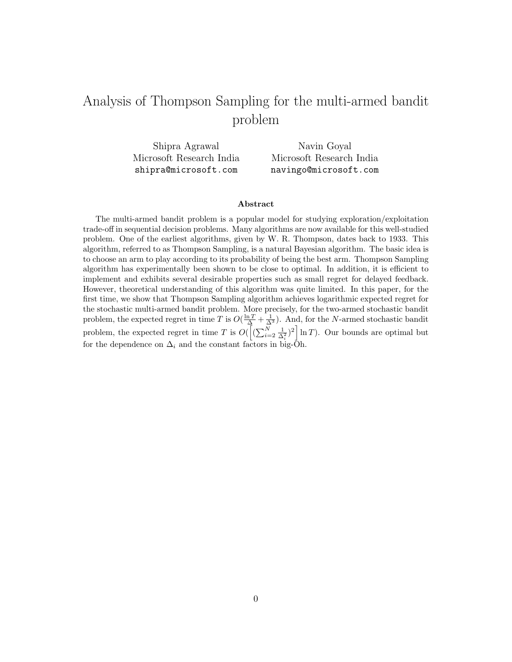# Analysis of Thompson Sampling for the multi-armed bandit problem

| Shipra Agrawal           | Navin Goyal              |  |  |  |
|--------------------------|--------------------------|--|--|--|
| Microsoft Research India | Microsoft Research India |  |  |  |
| shipra@microsoft.com     | navingo@microsoft.com    |  |  |  |

#### Abstract

The multi-armed bandit problem is a popular model for studying exploration/exploitation trade-off in sequential decision problems. Many algorithms are now available for this well-studied problem. One of the earliest algorithms, given by W. R. Thompson, dates back to 1933. This algorithm, referred to as Thompson Sampling, is a natural Bayesian algorithm. The basic idea is to choose an arm to play according to its probability of being the best arm. Thompson Sampling algorithm has experimentally been shown to be close to optimal. In addition, it is efficient to implement and exhibits several desirable properties such as small regret for delayed feedback. However, theoretical understanding of this algorithm was quite limited. In this paper, for the first time, we show that Thompson Sampling algorithm achieves logarithmic expected regret for the stochastic multi-armed bandit problem. More precisely, for the two-armed stochastic bandit problem, the expected regret in time T is  $O(\frac{\ln T}{\Delta} + \frac{1}{\Delta^3})$ . And, for the N-armed stochastic bandit problem, the expected regret in time T is  $O(\left[\left(\sum_{i=2}^N \frac{1}{\Delta_i^2}\right)^2\right] \ln T)$ . Our bounds are optimal but for the dependence on  $\Delta_i$  and the constant factors in big-Oh.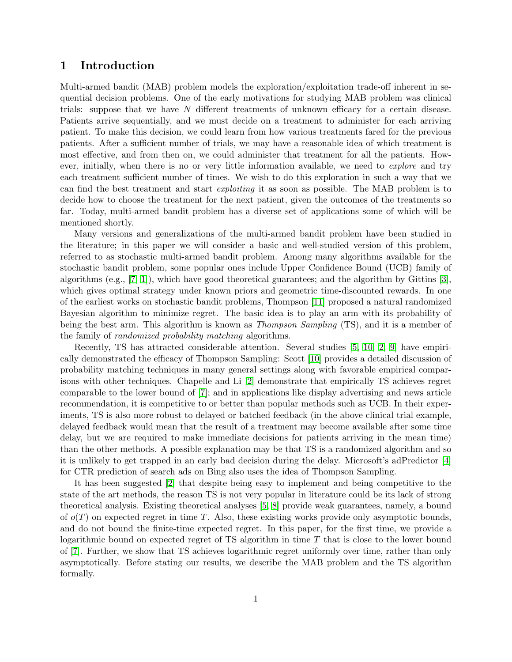## 1 Introduction

Multi-armed bandit (MAB) problem models the exploration/exploitation trade-off inherent in sequential decision problems. One of the early motivations for studying MAB problem was clinical trials: suppose that we have  $N$  different treatments of unknown efficacy for a certain disease. Patients arrive sequentially, and we must decide on a treatment to administer for each arriving patient. To make this decision, we could learn from how various treatments fared for the previous patients. After a sufficient number of trials, we may have a reasonable idea of which treatment is most effective, and from then on, we could administer that treatment for all the patients. However, initially, when there is no or very little information available, we need to *explore* and try each treatment sufficient number of times. We wish to do this exploration in such a way that we can find the best treatment and start exploiting it as soon as possible. The MAB problem is to decide how to choose the treatment for the next patient, given the outcomes of the treatments so far. Today, multi-armed bandit problem has a diverse set of applications some of which will be mentioned shortly.

Many versions and generalizations of the multi-armed bandit problem have been studied in the literature; in this paper we will consider a basic and well-studied version of this problem, referred to as stochastic multi-armed bandit problem. Among many algorithms available for the stochastic bandit problem, some popular ones include Upper Confidence Bound (UCB) family of algorithms (e.g.,  $[7, 1]$  $[7, 1]$ ), which have good theoretical guarantees; and the algorithm by Gittins  $[3]$ , which gives optimal strategy under known priors and geometric time-discounted rewards. In one of the earliest works on stochastic bandit problems, Thompson [\[11\]](#page-16-3) proposed a natural randomized Bayesian algorithm to minimize regret. The basic idea is to play an arm with its probability of being the best arm. This algorithm is known as Thompson Sampling (TS), and it is a member of the family of randomized probability matching algorithms.

Recently, TS has attracted considerable attention. Several studies [\[5,](#page-16-4) [10,](#page-16-5) [2,](#page-16-6) [9\]](#page-16-7) have empirically demonstrated the efficacy of Thompson Sampling: Scott [\[10\]](#page-16-5) provides a detailed discussion of probability matching techniques in many general settings along with favorable empirical comparisons with other techniques. Chapelle and Li [\[2\]](#page-16-6) demonstrate that empirically TS achieves regret comparable to the lower bound of [\[7\]](#page-16-0); and in applications like display advertising and news article recommendation, it is competitive to or better than popular methods such as UCB. In their experiments, TS is also more robust to delayed or batched feedback (in the above clinical trial example, delayed feedback would mean that the result of a treatment may become available after some time delay, but we are required to make immediate decisions for patients arriving in the mean time) than the other methods. A possible explanation may be that TS is a randomized algorithm and so it is unlikely to get trapped in an early bad decision during the delay. Microsoft's adPredictor [\[4\]](#page-16-8) for CTR prediction of search ads on Bing also uses the idea of Thompson Sampling.

It has been suggested [\[2\]](#page-16-6) that despite being easy to implement and being competitive to the state of the art methods, the reason TS is not very popular in literature could be its lack of strong theoretical analysis. Existing theoretical analyses [\[5,](#page-16-4) [8\]](#page-16-9) provide weak guarantees, namely, a bound of  $o(T)$  on expected regret in time T. Also, these existing works provide only asymptotic bounds, and do not bound the finite-time expected regret. In this paper, for the first time, we provide a logarithmic bound on expected regret of TS algorithm in time T that is close to the lower bound of [\[7\]](#page-16-0). Further, we show that TS achieves logarithmic regret uniformly over time, rather than only asymptotically. Before stating our results, we describe the MAB problem and the TS algorithm formally.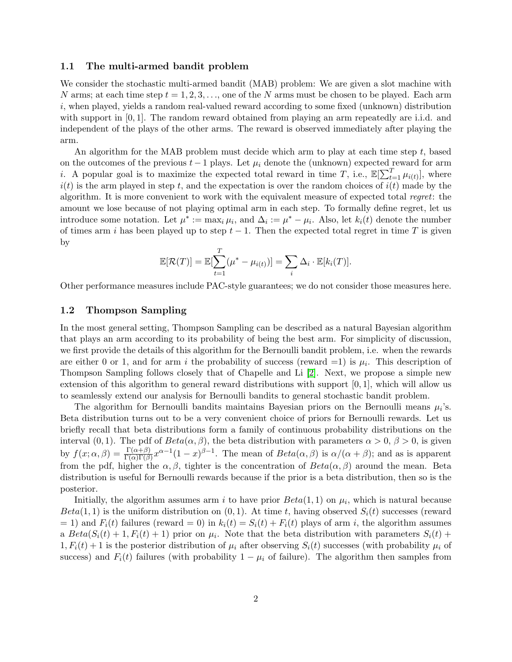#### 1.1 The multi-armed bandit problem

We consider the stochastic multi-armed bandit (MAB) problem: We are given a slot machine with N arms; at each time step  $t = 1, 2, 3, \ldots$ , one of the N arms must be chosen to be played. Each arm i, when played, yields a random real-valued reward according to some fixed (unknown) distribution with support in [0, 1]. The random reward obtained from playing an arm repeatedly are i.i.d. and independent of the plays of the other arms. The reward is observed immediately after playing the arm.

An algorithm for the MAB problem must decide which arm to play at each time step  $t$ , based on the outcomes of the previous  $t-1$  plays. Let  $\mu_i$  denote the (unknown) expected reward for arm *i*. A popular goal is to maximize the expected total reward in time T, i.e.,  $\mathbb{E}[\sum_{t=1}^{T} \mu_{i(t)}],$  where  $i(t)$  is the arm played in step t, and the expectation is over the random choices of  $i(t)$  made by the algorithm. It is more convenient to work with the equivalent measure of expected total regret: the amount we lose because of not playing optimal arm in each step. To formally define regret, let us introduce some notation. Let  $\mu^* := \max_i \mu_i$ , and  $\Delta_i := \mu^* - \mu_i$ . Also, let  $k_i(t)$  denote the number of times arm i has been played up to step  $t-1$ . Then the expected total regret in time T is given by

$$
\mathbb{E}[\mathcal{R}(T)] = \mathbb{E}[\sum_{t=1}^T (\mu^* - \mu_{i(t)})] = \sum_i \Delta_i \cdot \mathbb{E}[k_i(T)].
$$

Other performance measures include PAC-style guarantees; we do not consider those measures here.

#### 1.2 Thompson Sampling

In the most general setting, Thompson Sampling can be described as a natural Bayesian algorithm that plays an arm according to its probability of being the best arm. For simplicity of discussion, we first provide the details of this algorithm for the Bernoulli bandit problem, i.e. when the rewards are either 0 or 1, and for arm i the probability of success (reward  $=1$ ) is  $\mu_i$ . This description of Thompson Sampling follows closely that of Chapelle and Li [\[2\]](#page-16-6). Next, we propose a simple new extension of this algorithm to general reward distributions with support [0, 1], which will allow us to seamlessly extend our analysis for Bernoulli bandits to general stochastic bandit problem.

The algorithm for Bernoulli bandits maintains Bayesian priors on the Bernoulli means  $\mu_i$ 's. Beta distribution turns out to be a very convenient choice of priors for Bernoulli rewards. Let us briefly recall that beta distributions form a family of continuous probability distributions on the interval (0, 1). The pdf of  $Beta(\alpha, \beta)$ , the beta distribution with parameters  $\alpha > 0$ ,  $\beta > 0$ , is given by  $f(x; \alpha, \beta) = \frac{\Gamma(\alpha+\beta)}{\Gamma(\alpha)\Gamma(\beta)} x^{\alpha-1} (1-x)^{\beta-1}$ . The mean of  $Beta(\alpha, \beta)$  is  $\alpha/(\alpha+\beta)$ ; and as is apparent from the pdf, higher the  $\alpha, \beta$ , tighter is the concentration of  $Beta(\alpha, \beta)$  around the mean. Beta distribution is useful for Bernoulli rewards because if the prior is a beta distribution, then so is the posterior.

Initially, the algorithm assumes arm i to have prior  $Beta(1, 1)$  on  $\mu_i$ , which is natural because  $Beta(1, 1)$  is the uniform distribution on  $(0, 1)$ . At time t, having observed  $S_i(t)$  successes (reward  $= 1$ ) and  $F_i(t)$  failures (reward  $= 0$ ) in  $k_i(t) = S_i(t) + F_i(t)$  plays of arm i, the algorithm assumes a  $Beta(S_i(t) + 1, F_i(t) + 1)$  prior on  $\mu_i$ . Note that the beta distribution with parameters  $S_i(t)$  +  $1, F_i(t) + 1$  is the posterior distribution of  $\mu_i$  after observing  $S_i(t)$  successes (with probability  $\mu_i$  of success) and  $F_i(t)$  failures (with probability  $1 - \mu_i$  of failure). The algorithm then samples from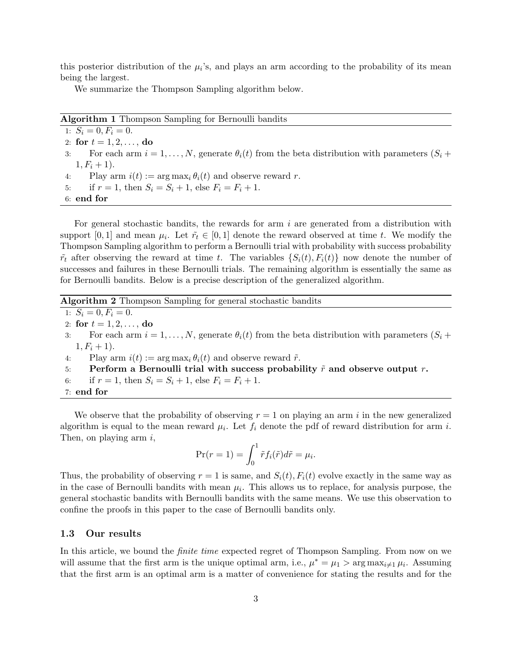this posterior distribution of the  $\mu_i$ 's, and plays an arm according to the probability of its mean being the largest.

We summarize the Thompson Sampling algorithm below.

| Algorithm 1 Thompson Sampling for Bernoulli bandits |  |  |  |  |  |  |
|-----------------------------------------------------|--|--|--|--|--|--|
|-----------------------------------------------------|--|--|--|--|--|--|

1:  $S_i = 0, F_i = 0.$ 2: for  $t = 1, 2, ...,$  do 3: For each arm  $i = 1, \ldots, N$ , generate  $\theta_i(t)$  from the beta distribution with parameters  $(S_i +$  $1, F_i + 1$ ). 4: Play arm  $i(t) := \arg \max_i \theta_i(t)$  and observe reward r. 5: if  $r = 1$ , then  $S_i = S_i + 1$ , else  $F_i = F_i + 1$ .

6: end for

For general stochastic bandits, the rewards for arm  $i$  are generated from a distribution with support [0, 1] and mean  $\mu_i$ . Let  $\tilde{r}_t \in [0,1]$  denote the reward observed at time t. We modify the Thompson Sampling algorithm to perform a Bernoulli trial with probability with success probability  $\tilde{r}_t$  after observing the reward at time t. The variables  $\{S_i(t), F_i(t)\}$  now denote the number of successes and failures in these Bernoulli trials. The remaining algorithm is essentially the same as for Bernoulli bandits. Below is a precise description of the generalized algorithm.

Algorithm 2 Thompson Sampling for general stochastic bandits

1:  $S_i = 0, F_i = 0.$ 2: for  $t = 1, 2, ...,$  do

- 3: For each arm  $i = 1, ..., N$ , generate  $\theta_i(t)$  from the beta distribution with parameters  $(S_i +$  $1, F_i + 1$ .
- 4: Play arm  $i(t) := \arg \max_i \theta_i(t)$  and observe reward  $\tilde{r}$ .
- 5: Perform a Bernoulli trial with success probability  $\tilde{r}$  and observe output r.
- 6: if  $r = 1$ , then  $S_i = S_i + 1$ , else  $F_i = F_i + 1$ .

7: end for

We observe that the probability of observing  $r = 1$  on playing an arm i in the new generalized algorithm is equal to the mean reward  $\mu_i$ . Let  $f_i$  denote the pdf of reward distribution for arm i. Then, on playing arm  $i$ ,

$$
\Pr(r=1) = \int_0^1 \tilde{r} f_i(\tilde{r}) d\tilde{r} = \mu_i.
$$

Thus, the probability of observing  $r = 1$  is same, and  $S_i(t)$ ,  $F_i(t)$  evolve exactly in the same way as in the case of Bernoulli bandits with mean  $\mu_i$ . This allows us to replace, for analysis purpose, the general stochastic bandits with Bernoulli bandits with the same means. We use this observation to confine the proofs in this paper to the case of Bernoulli bandits only.

#### 1.3 Our results

In this article, we bound the *finite time* expected regret of Thompson Sampling. From now on we will assume that the first arm is the unique optimal arm, i.e.,  $\mu^* = \mu_1 > \arg \max_{i \neq 1} \mu_i$ . Assuming that the first arm is an optimal arm is a matter of convenience for stating the results and for the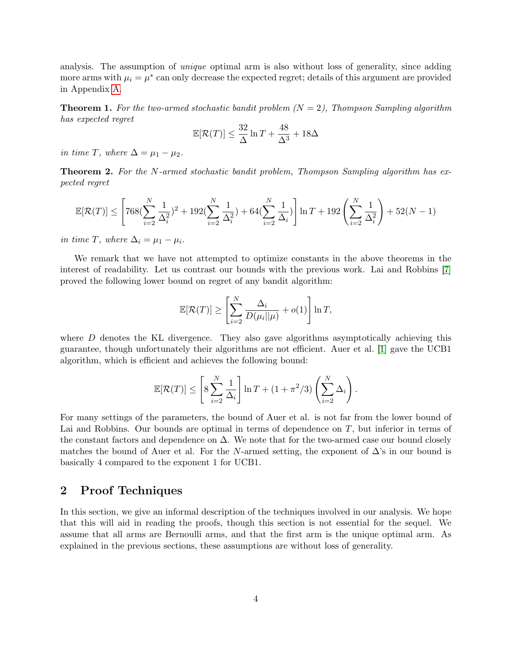analysis. The assumption of *unique* optimal arm is also without loss of generality, since adding more arms with  $\mu_i = \mu^*$  can only decrease the expected regret; details of this argument are provided in Appendix [A.](#page-16-10)

<span id="page-4-0"></span>**Theorem 1.** For the two-armed stochastic bandit problem  $(N = 2)$ , Thompson Sampling algorithm has expected regret

$$
\mathbb{E}[\mathcal{R}(T)] \le \frac{32}{\Delta} \ln T + \frac{48}{\Delta^3} + 18\Delta
$$

in time T, where  $\Delta = \mu_1 - \mu_2$ .

<span id="page-4-1"></span>Theorem 2. For the N-armed stochastic bandit problem, Thompson Sampling algorithm has expected regret

$$
\mathbb{E}[\mathcal{R}(T)] \le \left[ 768\left(\sum_{i=2}^{N} \frac{1}{\Delta_i^2}\right)^2 + 192\left(\sum_{i=2}^{N} \frac{1}{\Delta_i^2}\right) + 64\left(\sum_{i=2}^{N} \frac{1}{\Delta_i}\right) \right] \ln T + 192\left(\sum_{i=2}^{N} \frac{1}{\Delta_i^2}\right) + 52(N-1)
$$

in time T, where  $\Delta_i = \mu_1 - \mu_i$ .

We remark that we have not attempted to optimize constants in the above theorems in the interest of readability. Let us contrast our bounds with the previous work. Lai and Robbins [\[7\]](#page-16-0) proved the following lower bound on regret of any bandit algorithm:

$$
\mathbb{E}[\mathcal{R}(T)] \ge \left[ \sum_{i=2}^{N} \frac{\Delta_i}{D(\mu_i||\mu)} + o(1) \right] \ln T,
$$

where D denotes the KL divergence. They also gave algorithms asymptotically achieving this guarantee, though unfortunately their algorithms are not efficient. Auer et al. [\[1\]](#page-16-1) gave the UCB1 algorithm, which is efficient and achieves the following bound:

$$
\mathbb{E}[\mathcal{R}(T)] \le \left[8\sum_{i=2}^N \frac{1}{\Delta_i}\right] \ln T + (1 + \pi^2/3) \left(\sum_{i=2}^N \Delta_i\right).
$$

For many settings of the parameters, the bound of Auer et al. is not far from the lower bound of Lai and Robbins. Our bounds are optimal in terms of dependence on  $T$ , but inferior in terms of the constant factors and dependence on  $\Delta$ . We note that for the two-armed case our bound closely matches the bound of Auer et al. For the N-armed setting, the exponent of  $\Delta$ 's in our bound is basically 4 compared to the exponent 1 for UCB1.

## 2 Proof Techniques

In this section, we give an informal description of the techniques involved in our analysis. We hope that this will aid in reading the proofs, though this section is not essential for the sequel. We assume that all arms are Bernoulli arms, and that the first arm is the unique optimal arm. As explained in the previous sections, these assumptions are without loss of generality.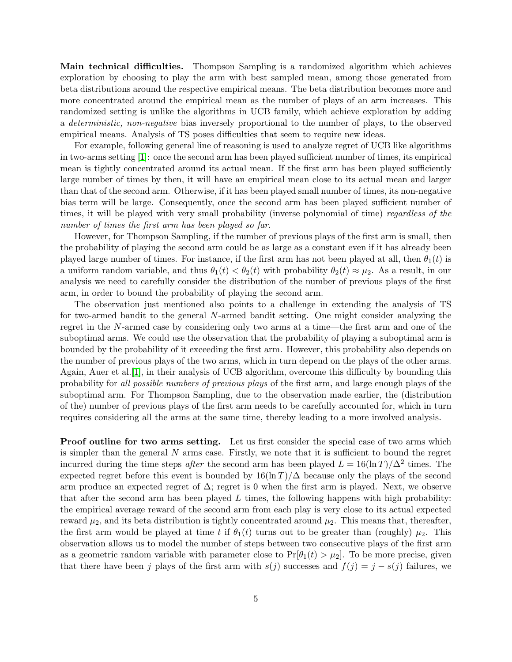Main technical difficulties. Thompson Sampling is a randomized algorithm which achieves exploration by choosing to play the arm with best sampled mean, among those generated from beta distributions around the respective empirical means. The beta distribution becomes more and more concentrated around the empirical mean as the number of plays of an arm increases. This randomized setting is unlike the algorithms in UCB family, which achieve exploration by adding a deterministic, non-negative bias inversely proportional to the number of plays, to the observed empirical means. Analysis of TS poses difficulties that seem to require new ideas.

For example, following general line of reasoning is used to analyze regret of UCB like algorithms in two-arms setting [\[1\]](#page-16-1): once the second arm has been played sufficient number of times, its empirical mean is tightly concentrated around its actual mean. If the first arm has been played sufficiently large number of times by then, it will have an empirical mean close to its actual mean and larger than that of the second arm. Otherwise, if it has been played small number of times, its non-negative bias term will be large. Consequently, once the second arm has been played sufficient number of times, it will be played with very small probability (inverse polynomial of time) regardless of the number of times the first arm has been played so far.

However, for Thompson Sampling, if the number of previous plays of the first arm is small, then the probability of playing the second arm could be as large as a constant even if it has already been played large number of times. For instance, if the first arm has not been played at all, then  $\theta_1(t)$  is a uniform random variable, and thus  $\theta_1(t) < \theta_2(t)$  with probability  $\theta_2(t) \approx \mu_2$ . As a result, in our analysis we need to carefully consider the distribution of the number of previous plays of the first arm, in order to bound the probability of playing the second arm.

The observation just mentioned also points to a challenge in extending the analysis of TS for two-armed bandit to the general N-armed bandit setting. One might consider analyzing the regret in the N-armed case by considering only two arms at a time—the first arm and one of the suboptimal arms. We could use the observation that the probability of playing a suboptimal arm is bounded by the probability of it exceeding the first arm. However, this probability also depends on the number of previous plays of the two arms, which in turn depend on the plays of the other arms. Again, Auer et al.[\[1\]](#page-16-1), in their analysis of UCB algorithm, overcome this difficulty by bounding this probability for all possible numbers of previous plays of the first arm, and large enough plays of the suboptimal arm. For Thompson Sampling, due to the observation made earlier, the (distribution of the) number of previous plays of the first arm needs to be carefully accounted for, which in turn requires considering all the arms at the same time, thereby leading to a more involved analysis.

Proof outline for two arms setting. Let us first consider the special case of two arms which is simpler than the general N arms case. Firstly, we note that it is sufficient to bound the regret incurred during the time steps *after* the second arm has been played  $L = 16(\ln T)/\Delta^2$  times. The expected regret before this event is bounded by  $16(\ln T)/\Delta$  because only the plays of the second arm produce an expected regret of  $\Delta$ ; regret is 0 when the first arm is played. Next, we observe that after the second arm has been played  $L$  times, the following happens with high probability: the empirical average reward of the second arm from each play is very close to its actual expected reward  $\mu_2$ , and its beta distribution is tightly concentrated around  $\mu_2$ . This means that, thereafter, the first arm would be played at time t if  $\theta_1(t)$  turns out to be greater than (roughly)  $\mu_2$ . This observation allows us to model the number of steps between two consecutive plays of the first arm as a geometric random variable with parameter close to  $Pr[\theta_1(t) > \mu_2]$ . To be more precise, given that there have been j plays of the first arm with  $s(j)$  successes and  $f(j) = j - s(j)$  failures, we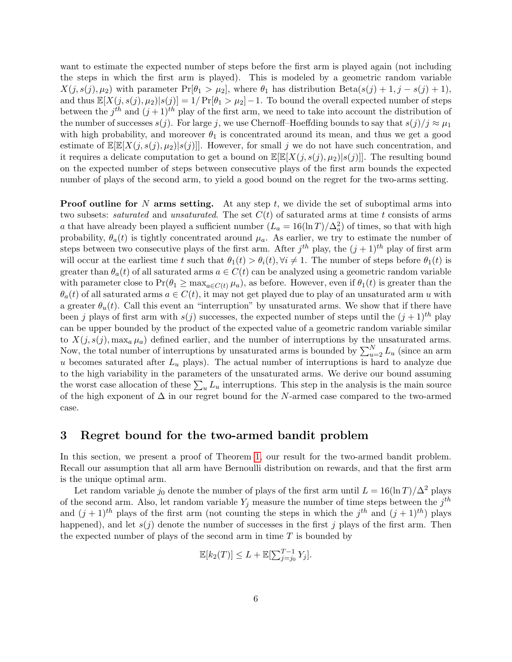want to estimate the expected number of steps before the first arm is played again (not including the steps in which the first arm is played). This is modeled by a geometric random variable  $X(j, s(j), \mu_2)$  with parameter  $Pr[\theta_1 > \mu_2]$ , where  $\theta_1$  has distribution  $Beta(s(j) + 1, j - s(j) + 1)$ , and thus  $\mathbb{E}[X(j, s(j), \mu_2)|s(j)] = 1/\Pr[\theta_1 > \mu_2] - 1$ . To bound the overall expected number of steps between the  $j<sup>th</sup>$  and  $(j+1)<sup>th</sup>$  play of the first arm, we need to take into account the distribution of the number of successes  $s(j)$ . For large j, we use Chernoff–Hoeffding bounds to say that  $s(j)/j \approx \mu_1$ with high probability, and moreover  $\theta_1$  is concentrated around its mean, and thus we get a good estimate of  $\mathbb{E}[E[X(j, s(j), \mu_2)|s(j)]]$ . However, for small j we do not have such concentration, and it requires a delicate computation to get a bound on  $\mathbb{E}[E[X(j, s(j), \mu_2)|s(j)]]$ . The resulting bound on the expected number of steps between consecutive plays of the first arm bounds the expected number of plays of the second arm, to yield a good bound on the regret for the two-arms setting.

**Proof outline for** N arms setting. At any step t, we divide the set of suboptimal arms into two subsets: *saturated* and *unsaturated*. The set  $C(t)$  of saturated arms at time t consists of arms a that have already been played a sufficient number  $(L_a = 16(\ln T)/\Delta_a^2)$  of times, so that with high probability,  $\theta_a(t)$  is tightly concentrated around  $\mu_a$ . As earlier, we try to estimate the number of steps between two consecutive plays of the first arm. After  $j^{th}$  play, the  $(j + 1)^{th}$  play of first arm will occur at the earliest time t such that  $\theta_1(t) > \theta_i(t)$ ,  $\forall i \neq 1$ . The number of steps before  $\theta_1(t)$  is greater than  $\theta_a(t)$  of all saturated arms  $a \in C(t)$  can be analyzed using a geometric random variable with parameter close to  $Pr(\theta_1 \ge \max_{a \in C(t)} \mu_a)$ , as before. However, even if  $\theta_1(t)$  is greater than the  $\theta_a(t)$  of all saturated arms  $a \in C(t)$ , it may not get played due to play of an unsaturated arm u with a greater  $\theta_u(t)$ . Call this event an "interruption" by unsaturated arms. We show that if there have been j plays of first arm with  $s(j)$  successes, the expected number of steps until the  $(j + 1)$ <sup>th</sup> play can be upper bounded by the product of the expected value of a geometric random variable similar to  $X(j, s(j), \max_a \mu_a)$  defined earlier, and the number of interruptions by the unsaturated arms. Now, the total number of interruptions by unsaturated arms is bounded by  $\sum_{u=2}^{N} L_u$  (since an arm u becomes saturated after  $L_u$  plays). The actual number of interruptions is hard to analyze due to the high variability in the parameters of the unsaturated arms. We derive our bound assuming the worst case allocation of these  $\sum_{u} L_u$  interruptions. This step in the analysis is the main source of the high exponent of ∆ in our regret bound for the N-armed case compared to the two-armed case.

### 3 Regret bound for the two-armed bandit problem

In this section, we present a proof of Theorem [1,](#page-4-0) our result for the two-armed bandit problem. Recall our assumption that all arm have Bernoulli distribution on rewards, and that the first arm is the unique optimal arm.

Let random variable j<sub>0</sub> denote the number of plays of the first arm until  $L = 16(\ln T)/\Delta^2$  plays of the second arm. Also, let random variable  $Y_j$  measure the number of time steps between the  $j^{th}$ and  $(j + 1)^{th}$  plays of the first arm (not counting the steps in which the  $j^{th}$  and  $(j + 1)^{th}$ ) plays happened), and let  $s(j)$  denote the number of successes in the first j plays of the first arm. Then the expected number of plays of the second arm in time  $T$  is bounded by

$$
\mathbb{E}[k_2(T)] \le L + \mathbb{E}[\sum_{j=j_0}^{T-1} Y_j].
$$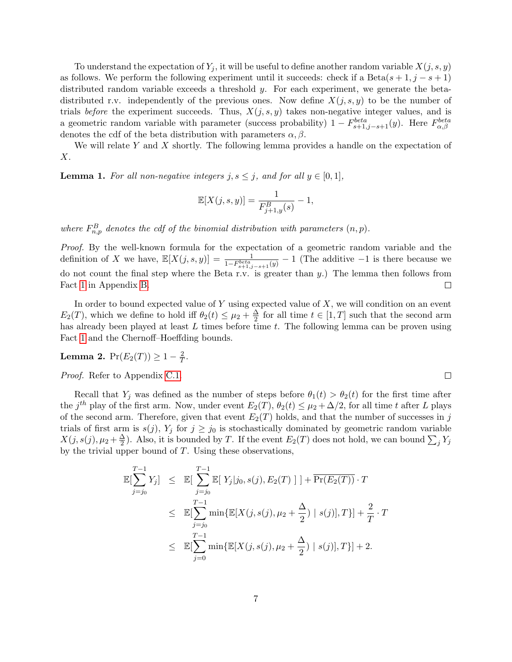To understand the expectation of  $Y_j$ , it will be useful to define another random variable  $X(j, s, y)$ as follows. We perform the following experiment until it succeeds: check if a Beta $(s+1,j-s+1)$ distributed random variable exceeds a threshold  $y$ . For each experiment, we generate the betadistributed r.v. independently of the previous ones. Now define  $X(j, s, y)$  to be the number of trials before the experiment succeeds. Thus,  $X(j, s, y)$  takes non-negative integer values, and is a geometric random variable with parameter (success probability)  $1 - F_{s+1,j-s+1}^{beta}(y)$ . Here  $F_{\alpha,\beta}^{beta}$ denotes the cdf of the beta distribution with parameters  $\alpha, \beta$ .

We will relate Y and X shortly. The following lemma provides a handle on the expectation of X.

<span id="page-7-0"></span>**Lemma 1.** For all non-negative integers  $j, s \leq j$ , and for all  $y \in [0, 1]$ ,

$$
\mathbb{E}[X(j, s, y)] = \frac{1}{F_{j+1, y}^B(s)} - 1,
$$

where  $F_{n,p}^B$  denotes the cdf of the binomial distribution with parameters  $(n,p)$ .

Proof. By the well-known formula for the expectation of a geometric random variable and the definition of X we have,  $\mathbb{E}[X(j,s,y)] = \frac{1}{1-F_{s+1,j-s+1}^{beta}} - 1$  (The additive  $-1$  is there because we do not count the final step where the Beta r.v. is greater than y.) The lemma then follows from Fact [1](#page-17-0) in Appendix [B.](#page-17-1)  $\Box$ 

In order to bound expected value of Y using expected value of  $X$ , we will condition on an event  $E_2(T)$ , which we define to hold iff  $\theta_2(t) \leq \mu_2 + \frac{\Delta}{2}$  $\frac{\Delta}{2}$  for all time  $t \in [1, T]$  such that the second arm has already been played at least  $L$  times before time  $t$ . The following lemma can be proven using Fact [1](#page-17-0) and the Chernoff–Hoeffding bounds.

<span id="page-7-1"></span>**Lemma 2.** 
$$
Pr(E_2(T)) \geq 1 - \frac{2}{T}
$$
.

Proof. Refer to Appendix [C.1.](#page-18-0)

Recall that  $Y_i$  was defined as the number of steps before  $\theta_1(t) > \theta_2(t)$  for the first time after the  $j^{th}$  play of the first arm. Now, under event  $E_2(T)$ ,  $\theta_2(t) \leq \mu_2 + \Delta/2$ , for all time t after L plays of the second arm. Therefore, given that event  $E_2(T)$  holds, and that the number of successes in j trials of first arm is  $s(j)$ ,  $Y_j$  for  $j \geq j_0$  is stochastically dominated by geometric random variable  $X(j,s(j),\mu_2+\frac{\Delta}{2})$  $\frac{\Delta}{2}$ ). Also, it is bounded by T. If the event  $E_2(T)$  does not hold, we can bound  $\sum_j Y_j$ by the trivial upper bound of  $T$ . Using these observations,

$$
\mathbb{E}[\sum_{j=j_0}^{T-1} Y_j] \leq \mathbb{E}[\sum_{j=j_0}^{T-1} \mathbb{E}[Y_j | j_0, s(j), E_2(T)]] + \overline{\Pr(E_2(T))} \cdot T
$$
  
\n
$$
\leq \mathbb{E}[\sum_{j=j_0}^{T-1} \min{\{\mathbb{E}[X(j, s(j), \mu_2 + \frac{\Delta}{2}) \mid s(j)], T\}}] + \frac{2}{T} \cdot T
$$
  
\n
$$
\leq \mathbb{E}[\sum_{j=0}^{T-1} \min{\{\mathbb{E}[X(j, s(j), \mu_2 + \frac{\Delta}{2}) \mid s(j)], T\}}] + 2.
$$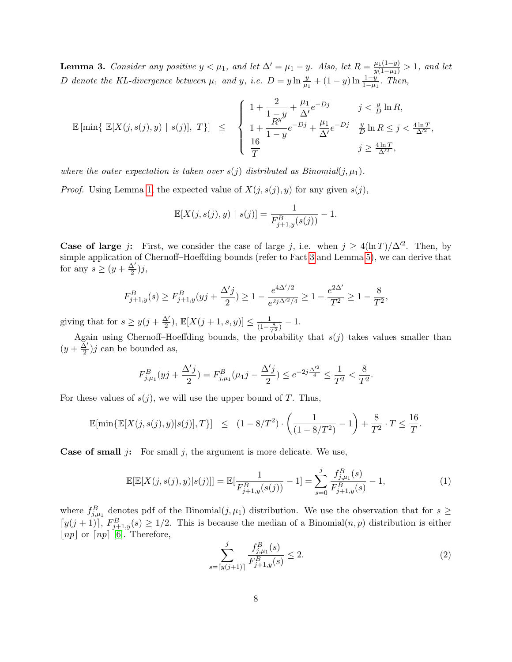<span id="page-8-2"></span>**Lemma 3.** Consider any positive  $y < \mu_1$ , and let  $\Delta' = \mu_1 - y$ . Also, let  $R = \frac{\mu_1(1-y)}{y(1-\mu_1)} > 1$ , and let D denote the KL-divergence between  $\mu_1$  and y, i.e.  $D = y \ln \frac{y}{\mu_1} + (1 - y) \ln \frac{1 - y}{1 - \mu_1}$ . Then,

$$
\mathbb{E} [\min \{ \mathbb{E}[X(j, s(j), y) \mid s(j)], T \}] \leq \begin{cases} 1 + \frac{2}{1 - y} + \frac{\mu_1}{\Delta'} e^{-Dj} & j < \frac{y}{D} \ln R, \\ 1 + \frac{R^y}{1 - y} e^{-Dj} + \frac{\mu_1}{\Delta'} e^{-Dj} & \frac{y}{D} \ln R \leq j < \frac{4 \ln T}{\Delta'^2}, \\ \frac{16}{T} & j \geq \frac{4 \ln T}{\Delta'^2}, \end{cases}
$$

where the outer expectation is taken over  $s(j)$  distributed as Binomial $(j, \mu_1)$ .

*Proof.* Using Lemma [1,](#page-7-0) the expected value of  $X(j, s(j), y)$  for any given  $s(j)$ ,

$$
\mathbb{E}[X(j, s(j), y) | s(j)] = \frac{1}{F_{j+1, y}^B(s(j))} - 1.
$$

**Case of large** j: First, we consider the case of large j, i.e. when  $j \geq 4(\ln T)/\Delta^2$ . Then, by simple application of Chernoff–Hoeffding bounds (refer to Fact [3](#page-17-2) and Lemma [5\)](#page-17-3), we can derive that for any  $s \geq (y + \frac{\Delta'}{2})$  $\frac{\Delta'}{2}$ )j,

$$
F_{j+1,y}^B(s) \ge F_{j+1,y}^B(yj+\frac{\Delta'j}{2}) \ge 1 - \frac{e^{4\Delta'/2}}{e^{2j\Delta'^2/4}} \ge 1 - \frac{e^{2\Delta'}}{T^2} \ge 1 - \frac{8}{T^2},
$$

giving that for  $s \geq y(j + \frac{\Delta'}{2})$  $\frac{\Delta'}{2}$ ,  $\mathbb{E}[X(j+1, s, y)] \leq \frac{1}{(1-\frac{8}{T^2})} - 1.$ 

Again using Chernoff–Hoeffding bounds, the probability that  $s(j)$  takes values smaller than  $(y+\frac{\tilde{\Delta}'}{2})$  $\frac{\Delta'}{2}$ )*j* can be bounded as,

$$
F_{j,\mu_1}^B(yj+\frac{\Delta'j}{2})=F_{j,\mu_1}^B(\mu_1j-\frac{\Delta'j}{2})\leq e^{-2j\frac{\Delta'^2}{4}}\leq \frac{1}{T^2}<\frac{8}{T^2}.
$$

For these values of  $s(j)$ , we will use the upper bound of T. Thus,

$$
\mathbb{E}[\min{\{\mathbb{E}[X(j,s(j),y)|s(j)],T\}}] \leq (1-8/T^2) \cdot \left(\frac{1}{(1-8/T^2)}-1\right) + \frac{8}{T^2} \cdot T \leq \frac{16}{T}.
$$

**Case of small j:** For small j, the argument is more delicate. We use,

<span id="page-8-1"></span>
$$
\mathbb{E}[\mathbb{E}[X(j,s(j),y)|s(j)]] = \mathbb{E}[\frac{1}{F_{j+1,y}^B(s(j))} - 1] = \sum_{s=0}^j \frac{f_{j,\mu_1}^B(s)}{F_{j+1,y}^B(s)} - 1,\tag{1}
$$

where  $f_{j,\mu_1}^B$  denotes pdf of the Binomial $(j,\mu_1)$  distribution. We use the observation that for  $s \geq$  $[y(j + 1)], F_{j+1,y}^B(s) \ge 1/2$ . This is because the median of a Binomial $(n, p)$  distribution is either |np| or  $\lceil np \rceil$  [\[6\]](#page-16-11). Therefore,

<span id="page-8-0"></span>
$$
\sum_{s=\lceil y(j+1)\rceil}^{j} \frac{f_{j,\mu_1}^B(s)}{F_{j+1,y}^B(s)} \le 2.
$$
 (2)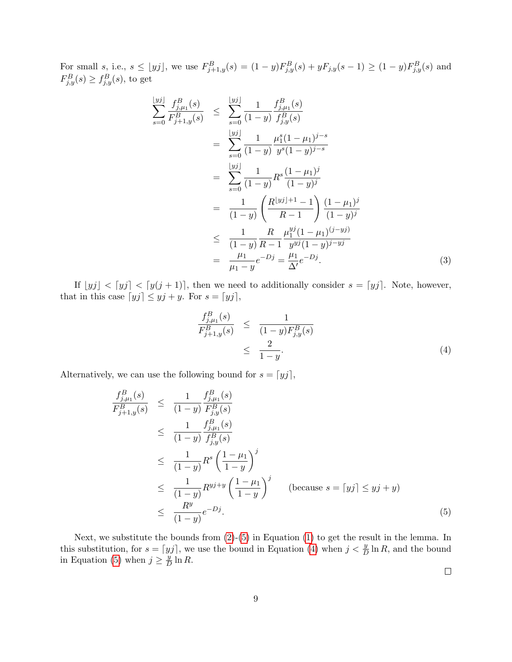For small s, i.e.,  $s \leq \lfloor yj \rfloor$ , we use  $F_{j+1,y}^B(s) = (1-y)F_{j,y}^B(s) + yF_{j,y}(s-1) \geq (1-y)F_{j,y}^B(s)$  and  $F_{j,y}^B(s) \ge f_{j,y}^B(s)$ , to get

<span id="page-9-2"></span>
$$
\sum_{s=0}^{\lfloor yj \rfloor} \frac{f_{j,\mu_1}^B(s)}{F_{j+1,y}^B(s)} \leq \sum_{s=0}^{\lfloor yj \rfloor} \frac{1}{(1-y)} \frac{f_{j,\mu_1}^B(s)}{f_{j,y}^B(s)}
$$
\n
$$
= \sum_{s=0}^{\lfloor yj \rfloor} \frac{1}{(1-y)} \frac{\mu_1^s (1-\mu_1)^{j-s}}{y^s (1-y)^{j-s}}
$$
\n
$$
= \sum_{s=0}^{\lfloor yj \rfloor} \frac{1}{(1-y)} R^s \frac{(1-\mu_1)^j}{(1-y)^j}
$$
\n
$$
= \frac{1}{(1-y)} \left( \frac{R^{\lfloor yj \rfloor+1} - 1}{R - 1} \right) \frac{(1-\mu_1)^j}{(1-y)^j}
$$
\n
$$
\leq \frac{1}{(1-y)} \frac{R}{R - 1} \frac{\mu_1^{yj} (1-\mu_1)^{(j-yj)}}{y^{yj} (1-y)^{j-yj}}
$$
\n
$$
= \frac{\mu_1}{\mu_1 - y} e^{-Dj} = \frac{\mu_1}{\Delta'} e^{-Dj}.
$$
\n(3)

If  $\lfloor yj \rfloor < \lfloor yj \rfloor < \lfloor y(j + 1) \rfloor$ , then we need to additionally consider  $s = \lfloor yj \rfloor$ . Note, however, that in this case  $\boxed{yj} \leq yj + y$ . For  $s = \boxed{yj}$ ,

<span id="page-9-1"></span>
$$
\frac{f_{j,\mu_1}^B(s)}{F_{j+1,y}^B(s)} \le \frac{1}{(1-y)F_{j,y}^B(s)} \le \frac{2}{1-y}.
$$
\n(4)

Alternatively, we can use the following bound for  $s = [yj]$ ,

<span id="page-9-0"></span>
$$
\frac{f_{j,\mu_1}^B(s)}{F_{j+1,y}^B(s)} \leq \frac{1}{(1-y)} \frac{f_{j,\mu_1}^B(s)}{F_{j,y}^B(s)}
$$
\n
$$
\leq \frac{1}{(1-y)} \frac{f_{j,\mu_1}^B(s)}{f_{j,y}^B(s)}
$$
\n
$$
\leq \frac{1}{(1-y)} R^s \left(\frac{1-\mu_1}{1-y}\right)^j
$$
\n
$$
\leq \frac{1}{(1-y)} R^{yj+y} \left(\frac{1-\mu_1}{1-y}\right)^j \quad \text{(because } s = \lceil yj \rceil \leq yj + y)
$$
\n
$$
\leq \frac{R^y}{(1-y)} e^{-Dj}.
$$
\n(5)

Next, we substitute the bounds from [\(2\)](#page-8-0)-[\(5\)](#page-9-0) in Equation [\(1\)](#page-8-1) to get the result in the lemma. In this substitution, for  $s = [yj]$ , we use the bound in Equation [\(4\)](#page-9-1) when  $j < \frac{y}{D} \ln R$ , and the bound in Equation [\(5\)](#page-9-0) when  $j \geq \frac{y}{l}$  $\frac{y}{D} \ln R$ .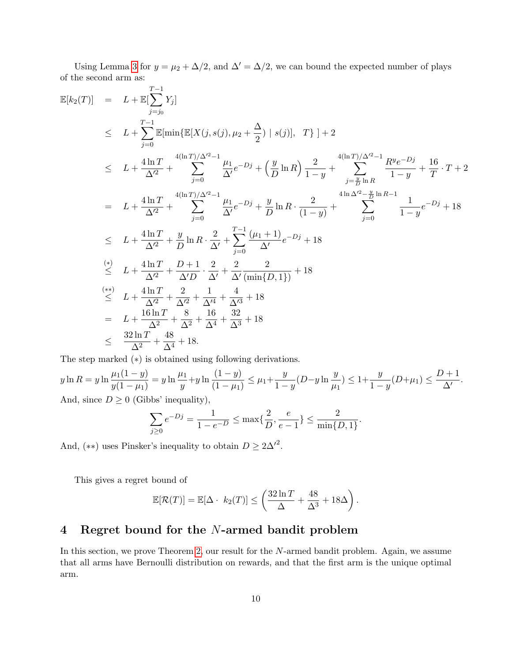Using Lemma [3](#page-8-2) for  $y = \mu_2 + \Delta/2$ , and  $\Delta' = \Delta/2$ , we can bound the expected number of plays of the second arm as:

$$
\mathbb{E}[k_2(T)] = L + \mathbb{E}[\sum_{j=0}^{T-1} Y_j]
$$
\n
$$
\leq L + \sum_{j=0}^{T-1} \mathbb{E}[\min{\{\mathbb{E}[X(j, s(j), \mu_2 + \frac{\Delta}{2}) \mid s(j)\}, T\}] + 2
$$
\n
$$
\leq L + \frac{4 \ln T}{\Delta'^2} + \sum_{j=0}^{4(\ln T)/\Delta'^2 - 1} \frac{\mu_1}{\Delta'} e^{-Dj} + \left(\frac{y}{D} \ln R\right) \frac{2}{1 - y} + \sum_{j=\frac{y}{D} \ln R}^{4(\ln T)/\Delta'^2 - 1} \frac{R^y e^{-Dj}}{1 - y} + \frac{16}{T} \cdot T + 2
$$
\n
$$
= L + \frac{4 \ln T}{\Delta'^2} + \sum_{j=0}^{4(\ln T)/\Delta'^2 - 1} \frac{\mu_1}{\Delta'} e^{-Dj} + \frac{y}{D} \ln R \cdot \frac{2}{(1 - y)} + \sum_{j=0}^{4 \ln \Delta'^2 - \frac{y}{D} \ln R - 1} \frac{1}{1 - y} e^{-Dj} + 18
$$
\n
$$
\leq L + \frac{4 \ln T}{\Delta'^2} + \frac{y}{D} \ln R \cdot \frac{2}{\Delta'} + \sum_{j=0}^{T-1} \frac{(\mu_1 + 1)}{\Delta'} e^{-Dj} + 18
$$
\n
$$
\leq L + \frac{4 \ln T}{\Delta'^2} + \frac{D + 1}{\Delta' D} \cdot \frac{2}{\Delta'} + \frac{2}{\Delta'} \frac{2}{(\min{\{D, 1\}})} + 18
$$
\n
$$
\leq L + \frac{4 \ln T}{\Delta'^2} + \frac{2}{\Delta'}^2 + \frac{1}{\Delta'}^4 + \frac{4}{\Delta'}^3 + 18
$$
\n
$$
= L + \frac{16 \ln T}{\Delta^2} + \frac{8}{\Delta^2} + \frac{16}{\Delta^4} + \frac{33}{\Delta^3} + 18
$$
\n
$$
\leq \frac{32 \ln T}{\Delta^2} + \frac{48}{\Delta^4} + 18.
$$

The step marked  $(*)$  is obtained using following derivations.

 $y \ln R = y \ln \frac{\mu_1(1-y)}{(1-y)}$  $y(1 - \mu_1)$  $= y \ln \frac{\mu_1}{y} + y \ln \frac{(1-y)}{(1-\mu_1)}$  $\frac{(1-y)}{(1-\mu_1)} \leq \mu_1 + \frac{y}{1-y}$  $\frac{y}{1-y}(D-y\ln\frac{y}{\mu}$  $\frac{y}{\mu_1}$ )  $\leq 1 + \frac{y}{1 -}$  $\frac{y}{1-y}(D+\mu_1) \leq \frac{D+1}{\Delta'}$  $\frac{1}{\Delta'}$ . And, since  $D \geq 0$  (Gibbs' inequality),

$$
\sum_{j\geq 0} e^{-Dj} = \frac{1}{1 - e^{-D}} \leq \max\{\frac{2}{D}, \frac{e}{e - 1}\} \leq \frac{2}{\min\{D, 1\}}.
$$

And, (\*\*) uses Pinsker's inequality to obtain  $D \geq 2\Delta'^2$ .

This gives a regret bound of

$$
\mathbb{E}[\mathcal{R}(T)] = \mathbb{E}[\Delta \cdot k_2(T)] \le \left(\frac{32\ln T}{\Delta} + \frac{48}{\Delta^3} + 18\Delta\right).
$$

# 4 Regret bound for the N-armed bandit problem

In this section, we prove Theorem [2,](#page-4-1) our result for the N-armed bandit problem. Again, we assume that all arms have Bernoulli distribution on rewards, and that the first arm is the unique optimal arm.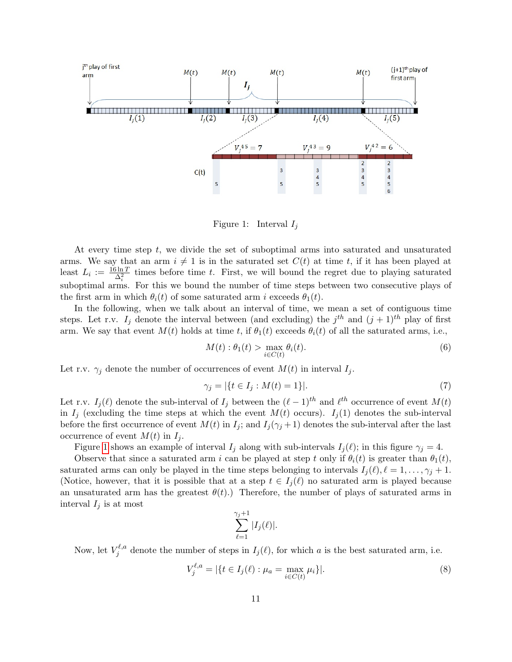

Figure 1: Interval  $I_j$ 

<span id="page-11-0"></span>At every time step  $t$ , we divide the set of suboptimal arms into saturated and unsaturated arms. We say that an arm  $i \neq 1$  is in the saturated set  $C(t)$  at time t, if it has been played at least  $L_i := \frac{16 \ln T}{\Delta_i^2}$  times before time t. First, we will bound the regret due to playing saturated suboptimal arms. For this we bound the number of time steps between two consecutive plays of the first arm in which  $\theta_i(t)$  of some saturated arm i exceeds  $\theta_1(t)$ .

In the following, when we talk about an interval of time, we mean a set of contiguous time steps. Let r.v.  $I_j$  denote the interval between (and excluding) the  $j^{th}$  and  $(j + 1)^{th}$  play of first arm. We say that event  $M(t)$  holds at time t, if  $\theta_1(t)$  exceeds  $\theta_i(t)$  of all the saturated arms, i.e.,

$$
M(t): \theta_1(t) > \max_{i \in C(t)} \theta_i(t). \tag{6}
$$

Let r.v.  $\gamma_j$  denote the number of occurrences of event  $M(t)$  in interval  $I_j$ .

$$
\gamma_j = |\{t \in I_j : M(t) = 1\}|. \tag{7}
$$

Let r.v.  $I_j(\ell)$  denote the sub-interval of  $I_j$  between the  $(\ell - 1)^{th}$  and  $\ell^{th}$  occurrence of event  $M(t)$ in  $I_i$  (excluding the time steps at which the event  $M(t)$  occurs).  $I_i(1)$  denotes the sub-interval before the first occurrence of event  $M(t)$  in  $I_i$ ; and  $I_i(\gamma_i+1)$  denotes the sub-interval after the last occurrence of event  $M(t)$  in  $I_i$ .

Figure [1](#page-11-0) shows an example of interval  $I_j$  along with sub-intervals  $I_j(\ell)$ ; in this figure  $\gamma_j = 4$ .

Observe that since a saturated arm i can be played at step t only if  $\theta_i(t)$  is greater than  $\theta_1(t)$ , saturated arms can only be played in the time steps belonging to intervals  $I_i(\ell), \ell = 1, \ldots, \gamma_i + 1$ . (Notice, however, that it is possible that at a step  $t \in I_i(\ell)$  no saturated arm is played because an unsaturated arm has the greatest  $\theta(t)$ .) Therefore, the number of plays of saturated arms in interval  $I_j$  is at most

$$
\sum_{\ell=1}^{\gamma_j+1} |I_j(\ell)|.
$$

Now, let  $V_i^{\ell,a}$  $J_j^{\ell,a}$  denote the number of steps in  $I_j(\ell)$ , for which a is the best saturated arm, i.e.

$$
V_j^{\ell, a} = |\{ t \in I_j(\ell) : \mu_a = \max_{i \in C(t)} \mu_i \}|. \tag{8}
$$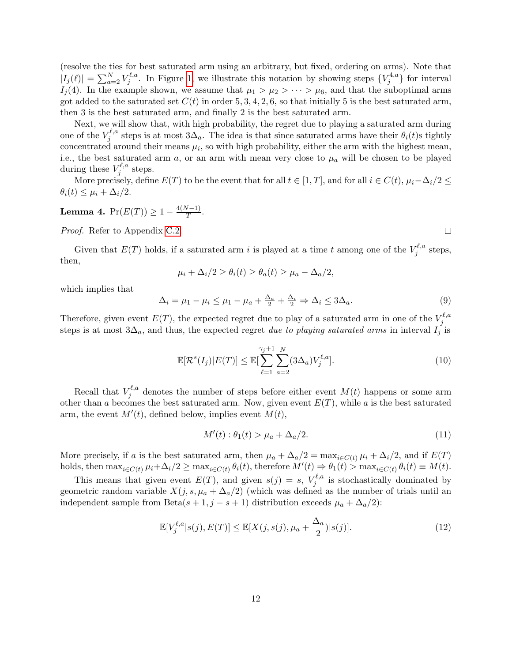(resolve the ties for best saturated arm using an arbitrary, but fixed, ordering on arms). Note that  $|I_j(\ell)| = \sum_{a=2}^{N} V_j^{\ell,a}$  $y_j^{\ell,a}$ . In Figure [1,](#page-11-0) we illustrate this notation by showing steps  $\{V_j^{4,a}$  $j^{4,a}$  for interval  $I_j(4)$ . In the example shown, we assume that  $\mu_1 > \mu_2 > \cdots > \mu_6$ , and that the suboptimal arms got added to the saturated set  $C(t)$  in order 5, 3, 4, 2, 6, so that initially 5 is the best saturated arm, then 3 is the best saturated arm, and finally 2 is the best saturated arm.

Next, we will show that, with high probability, the regret due to playing a saturated arm during one of the  $V_i^{\ell,a}$ <sup> $\zeta_t^{\ell,a}$ </sup> steps is at most  $3\Delta_a$ . The idea is that since saturated arms have their  $\theta_i(t)$ s tightly concentrated around their means  $\mu_i$ , so with high probability, either the arm with the highest mean, i.e., the best saturated arm  $a$ , or an arm with mean very close to  $\mu_a$  will be chosen to be played during these  $V_i^{\ell,a}$  $j^{t,a}$  steps.

More precisely, define  $E(T)$  to be the event that for all  $t \in [1, T]$ , and for all  $i \in C(t)$ ,  $\mu_i - \Delta_i/2 \leq$  $\theta_i(t) \leq \mu_i + \Delta_i/2.$ 

<span id="page-12-1"></span>**Lemma 4.** 
$$
Pr(E(T)) \geq 1 - \frac{4(N-1)}{T}
$$
.

Proof. Refer to Appendix [C.2.](#page-19-0)

Given that  $E(T)$  holds, if a saturated arm i is played at a time t among one of the  $V_i^{\ell,a}$  $j^{\ell,a}$  steps, then,

$$
\mu_i + \Delta_i/2 \ge \theta_i(t) \ge \theta_a(t) \ge \mu_a - \Delta_a/2,
$$

which implies that

$$
\Delta_i = \mu_1 - \mu_i \le \mu_1 - \mu_a + \frac{\Delta_a}{2} + \frac{\Delta_i}{2} \Rightarrow \Delta_i \le 3\Delta_a.
$$
\n(9)

Therefore, given event  $E(T)$ , the expected regret due to play of a saturated arm in one of the  $V_i^{\ell,a}$ j steps is at most  $3\Delta_a$ , and thus, the expected regret due to playing saturated arms in interval  $I_j$  is

$$
\mathbb{E}[\mathcal{R}^s(I_j)|E(T)] \le \mathbb{E}[\sum_{\ell=1}^{\gamma_j+1} \sum_{a=2}^N (3\Delta_a) V_j^{\ell,a}]. \tag{10}
$$

Recall that  $V_i^{\ell,a}$  $j^{t,a}$  denotes the number of steps before either event  $M(t)$  happens or some arm other than a becomes the best saturated arm. Now, given event  $E(T)$ , while a is the best saturated arm, the event  $M'(t)$ , defined below, implies event  $M(t)$ ,

$$
M'(t) : \theta_1(t) > \mu_a + \Delta_a/2.
$$
 (11)

More precisely, if a is the best saturated arm, then  $\mu_a + \Delta_a/2 = \max_{i \in C(t)} \mu_i + \Delta_i/2$ , and if  $E(T)$ holds, then  $\max_{i \in C(t)} \mu_i + \Delta_i/2 \geq \max_{i \in C(t)} \theta_i(t)$ , therefore  $M'(t) \Rightarrow \theta_1(t) > \max_{i \in C(t)} \theta_i(t) \equiv M(t)$ .

This means that given event  $E(T)$ , and given  $s(j) = s$ ,  $V_i^{\ell,a}$  $j_j^{\prime\ell,a}$  is stochastically dominated by geometric random variable  $X(j, s, \mu_a + \Delta_a/2)$  (which was defined as the number of trials until an independent sample from Beta $(s + 1, j - s + 1)$  distribution exceeds  $\mu_a + \Delta_a/2$ :

<span id="page-12-0"></span>
$$
\mathbb{E}[V_j^{\ell,a}|s(j),E(T)] \leq \mathbb{E}[X(j,s(j),\mu_a+\frac{\Delta_a}{2})|s(j)].\tag{12}
$$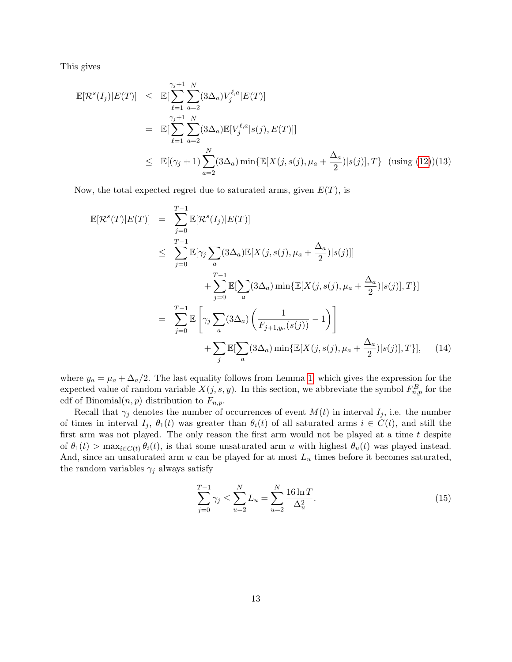This gives

$$
\mathbb{E}[\mathcal{R}^{s}(I_{j})|E(T)] \leq \mathbb{E}[\sum_{\ell=1}^{\gamma_{j}+1} \sum_{a=2}^{N} (3\Delta_{a}) V_{j}^{\ell,a}|E(T)]
$$
\n
$$
= \mathbb{E}[\sum_{\ell=1}^{\gamma_{j}+1} \sum_{a=2}^{N} (3\Delta_{a}) \mathbb{E}[V_{j}^{\ell,a}|s(j), E(T)]]
$$
\n
$$
\leq \mathbb{E}[(\gamma_{j}+1) \sum_{a=2}^{N} (3\Delta_{a}) \min \{\mathbb{E}[X(j,s(j), \mu_{a} + \frac{\Delta_{a}}{2})|s(j)], T\} \text{ (using (12)) (13)}
$$

Now, the total expected regret due to saturated arms, given  $E(T)$ , is

<span id="page-13-0"></span>
$$
\mathbb{E}[\mathcal{R}^{s}(T)|E(T)] = \sum_{j=0}^{T-1} \mathbb{E}[\mathcal{R}^{s}(I_{j})|E(T)]
$$
  
\n
$$
\leq \sum_{j=0}^{T-1} \mathbb{E}[\gamma_{j} \sum_{a} (3\Delta_{a}) \mathbb{E}[X(j, s(j), \mu_{a} + \frac{\Delta_{a}}{2})|s(j)]]
$$
  
\n
$$
+ \sum_{j=0}^{T-1} \mathbb{E}[\sum_{a} (3\Delta_{a}) \min \{\mathbb{E}[X(j, s(j), \mu_{a} + \frac{\Delta_{a}}{2})|s(j)], T\}]
$$
  
\n
$$
= \sum_{j=0}^{T-1} \mathbb{E}[\gamma_{j} \sum_{a} (3\Delta_{a}) \left(\frac{1}{F_{j+1, y_{a}}(s(j))} - 1\right)]
$$
  
\n
$$
+ \sum_{j} \mathbb{E}[\sum_{a} (3\Delta_{a}) \min \{\mathbb{E}[X(j, s(j), \mu_{a} + \frac{\Delta_{a}}{2})|s(j)], T\}], \quad (14)
$$

where  $y_a = \mu_a + \Delta_a/2$ . The last equality follows from Lemma [1,](#page-7-0) which gives the expression for the expected value of random variable  $X(j, s, y)$ . In this section, we abbreviate the symbol  $F_{n,p}^B$  for the cdf of Binomial $(n, p)$  distribution to  $F_{n,p}$ .

Recall that  $\gamma_j$  denotes the number of occurrences of event  $M(t)$  in interval  $I_j$ , i.e. the number of times in interval  $I_j$ ,  $\theta_1(t)$  was greater than  $\theta_i(t)$  of all saturated arms  $i \in C(t)$ , and still the first arm was not played. The only reason the first arm would not be played at a time  $t$  despite of  $\theta_1(t) > \max_{i \in C(t)} \theta_i(t)$ , is that some unsaturated arm u with highest  $\theta_u(t)$  was played instead. And, since an unsaturated arm  $u$  can be played for at most  $L_u$  times before it becomes saturated, the random variables  $\gamma_j$  always satisfy

$$
\sum_{j=0}^{T-1} \gamma_j \le \sum_{u=2}^{N} L_u = \sum_{u=2}^{N} \frac{16 \ln T}{\Delta_u^2}.
$$
\n(15)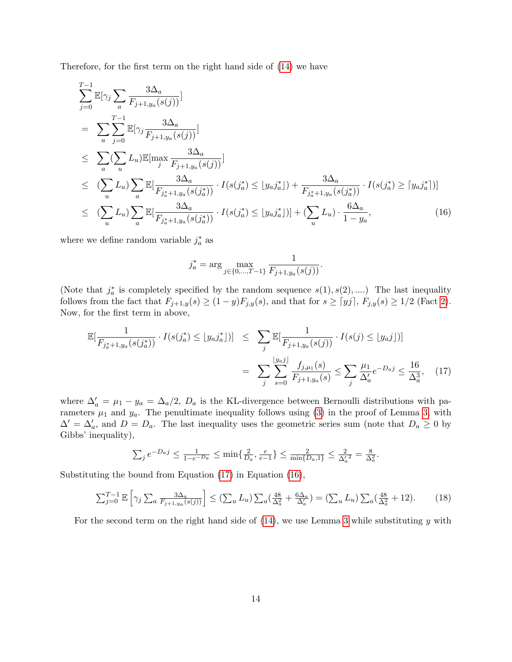Therefore, for the first term on the right hand side of [\(14\)](#page-13-0) we have

<span id="page-14-1"></span>
$$
\sum_{j=0}^{T-1} \mathbb{E}[\gamma_{j} \sum_{a} \frac{3\Delta_{a}}{F_{j+1,y_{a}}(s(j))}]
$$
\n
$$
= \sum_{a} \sum_{j=0}^{T-1} \mathbb{E}[\gamma_{j} \frac{3\Delta_{a}}{F_{j+1,y_{a}}(s(j))}]
$$
\n
$$
\leq \sum_{a} (\sum_{u} L_{u}) \mathbb{E}[\max_{j} \frac{3\Delta_{a}}{F_{j+1,y_{a}}(s(j))}]
$$
\n
$$
\leq (\sum_{u} L_{u}) \sum_{a} \mathbb{E}[\frac{3\Delta_{a}}{F_{j_{a}^{*}+1,y_{a}}(s(j_{a}^{*}))} \cdot I(s(j_{a}^{*}) \leq |y_{a}j_{a}^{*}|) + \frac{3\Delta_{a}}{F_{j_{a}^{*}+1,y_{a}}(s(j_{a}^{*}))} \cdot I(s(j_{a}^{*}) \geq |y_{a}j_{a}^{*}|)]
$$
\n
$$
\leq (\sum_{u} L_{u}) \sum_{a} \mathbb{E}[\frac{3\Delta_{a}}{F_{j_{a}^{*}+1,y_{a}}(s(j_{a}^{*}))} \cdot I(s(j_{a}^{*}) \leq |y_{a}j_{a}^{*}|)] + (\sum_{u} L_{u}) \cdot \frac{6\Delta_{a}}{1 - y_{a}}, \qquad (16)
$$

where we define random variable  $j_a^*$  as

$$
j_a^* = \arg\max_{j \in \{0, \dots, T-1\}} \frac{1}{F_{j+1, y_a}(s(j))}.
$$

(Note that  $j_a^*$  is completely specified by the random sequence  $s(1), s(2), ....$ ) The last inequality follows from the fact that  $F_{j+1,y}(s) \ge (1-y)F_{j,y}(s)$ , and that for  $s \ge [y_j]$ ,  $F_{j,y}(s) \ge 1/2$  (Fact [2\)](#page-17-4). Now, for the first term in above,

<span id="page-14-0"></span>
$$
\mathbb{E}[\frac{1}{F_{j_a^*+1,y_a}(s(j_a^*))} \cdot I(s(j_a^*) \le |y_a j_a^*|)] \le \sum_j \mathbb{E}[\frac{1}{F_{j+1,y_a}(s(j))} \cdot I(s(j) \le |y_a j|)]
$$

$$
= \sum_j \sum_{s=0}^{\lfloor y_a j \rfloor} \frac{f_{j,\mu_1}(s)}{F_{j+1,y_a}(s)} \le \sum_j \frac{\mu_1}{\Delta'_a} e^{-D_a j} \le \frac{16}{\Delta_a^3}, \quad (17)
$$

where  $\Delta'_a = \mu_1 - y_a = \Delta_a/2$ ,  $D_a$  is the KL-divergence between Bernoulli distributions with parameters  $\mu_1$  and  $y_a$ . The penultimate inequality follows using [\(3\)](#page-9-2) in the proof of Lemma [3,](#page-8-2) with  $\Delta' = \Delta'_a$ , and  $D = D_a$ . The last inequality uses the geometric series sum (note that  $D_a \geq 0$  by Gibbs' inequality),

$$
\sum_{j} e^{-D_a j} \le \frac{1}{1 - e^{-D_a}} \le \min\{\frac{2}{D_a}, \frac{e}{e - 1}\} \le \frac{2}{\min\{D_a, 1\}} \le \frac{2}{\Delta_a'} = \frac{8}{\Delta_a^2}.
$$

Substituting the bound from Equation [\(17\)](#page-14-0) in Equation [\(16\)](#page-14-1),

<span id="page-14-2"></span>
$$
\sum_{j=0}^{T-1} \mathbb{E}\left[\gamma_j \sum_a \frac{3\Delta_a}{F_{j+1,y_a}(s(j))}\right] \leq \left(\sum_u L_u\right) \sum_a \left(\frac{48}{\Delta_a^2} + \frac{6\Delta_a}{\Delta_a^2}\right) = \left(\sum_u L_u\right) \sum_a \left(\frac{48}{\Delta_a^2} + 12\right). \tag{18}
$$

For the second term on the right hand side of  $(14)$ , we use Lemma [3](#page-8-2) while substituting y with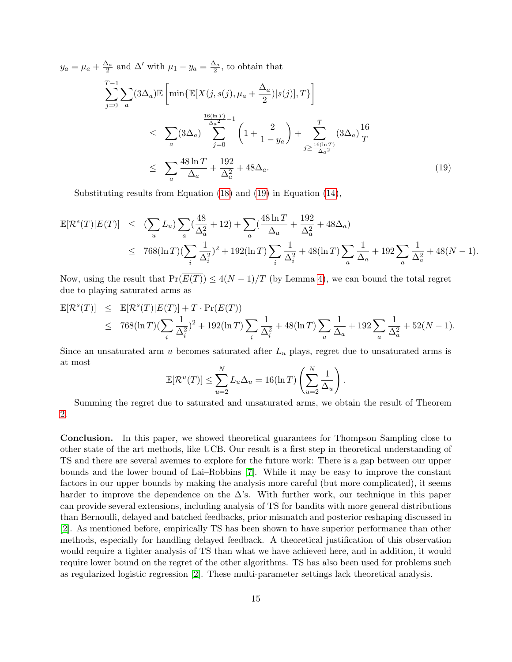<span id="page-15-0"></span>
$$
y_{a} = \mu_{a} + \frac{\Delta_{a}}{2} \text{ and } \Delta' \text{ with } \mu_{1} - y_{a} = \frac{\Delta_{a}}{2}, \text{ to obtain that}
$$
\n
$$
\sum_{j=0}^{T-1} \sum_{a} (3\Delta_{a}) \mathbb{E} \left[ \min \{ \mathbb{E}[X(j, s(j), \mu_{a} + \frac{\Delta_{a}}{2}) | s(j)], T \} \right]
$$
\n
$$
\leq \sum_{a} (3\Delta_{a}) \sum_{j=0}^{\frac{16(\ln T)}{\Delta_{a}2} - 1} \left( 1 + \frac{2}{1 - y_{a}} \right) + \sum_{j \geq \frac{16(\ln T)}{\Delta_{a}2}} (3\Delta_{a}) \frac{16}{T}
$$
\n
$$
\leq \sum_{a} \frac{48 \ln T}{\Delta_{a}} + \frac{192}{\Delta_{a}^{2}} + 48\Delta_{a}.
$$
\n(19)

Substituting results from Equation [\(18\)](#page-14-2) and [\(19\)](#page-15-0) in Equation [\(14\)](#page-13-0),

$$
\mathbb{E}[\mathcal{R}^s(T)|E(T)] \leq (\sum_u L_u) \sum_a (\frac{48}{\Delta_a^2} + 12) + \sum_a (\frac{48 \ln T}{\Delta_a} + \frac{192}{\Delta_a^2} + 48\Delta_a)
$$
  

$$
\leq 768(\ln T)(\sum_i \frac{1}{\Delta_i^2})^2 + 192(\ln T) \sum_i \frac{1}{\Delta_i^2} + 48(\ln T) \sum_a \frac{1}{\Delta_a} + 192 \sum_a \frac{1}{\Delta_a^2} + 48(N - 1).
$$

Now, using the result that  $Pr(\overline{E(T)}) \leq 4(N-1)/T$  (by Lemma [4\)](#page-12-1), we can bound the total regret due to playing saturated arms as

$$
\mathbb{E}[\mathcal{R}^s(T)] \leq \mathbb{E}[\mathcal{R}^s(T)|E(T)] + T \cdot \Pr(\overline{E(T)})
$$
  
 
$$
\leq 768(\ln T)(\sum_{i} \frac{1}{\Delta_i^2})^2 + 192(\ln T) \sum_{i} \frac{1}{\Delta_i^2} + 48(\ln T) \sum_{a} \frac{1}{\Delta_a} + 192 \sum_{a} \frac{1}{\Delta_a^2} + 52(N - 1).
$$

Since an unsaturated arm u becomes saturated after  $L_u$  plays, regret due to unsaturated arms is at most

$$
\mathbb{E}[\mathcal{R}^u(T)] \le \sum_{u=2}^N L_u \Delta_u = 16(\ln T) \left( \sum_{u=2}^N \frac{1}{\Delta_u} \right).
$$

Summing the regret due to saturated and unsaturated arms, we obtain the result of Theorem [2.](#page-4-1)

Conclusion. In this paper, we showed theoretical guarantees for Thompson Sampling close to other state of the art methods, like UCB. Our result is a first step in theoretical understanding of TS and there are several avenues to explore for the future work: There is a gap between our upper bounds and the lower bound of Lai–Robbins [\[7\]](#page-16-0). While it may be easy to improve the constant factors in our upper bounds by making the analysis more careful (but more complicated), it seems harder to improve the dependence on the  $\Delta$ 's. With further work, our technique in this paper can provide several extensions, including analysis of TS for bandits with more general distributions than Bernoulli, delayed and batched feedbacks, prior mismatch and posterior reshaping discussed in [\[2\]](#page-16-6). As mentioned before, empirically TS has been shown to have superior performance than other methods, especially for handling delayed feedback. A theoretical justification of this observation would require a tighter analysis of TS than what we have achieved here, and in addition, it would require lower bound on the regret of the other algorithms. TS has also been used for problems such as regularized logistic regression [\[2\]](#page-16-6). These multi-parameter settings lack theoretical analysis.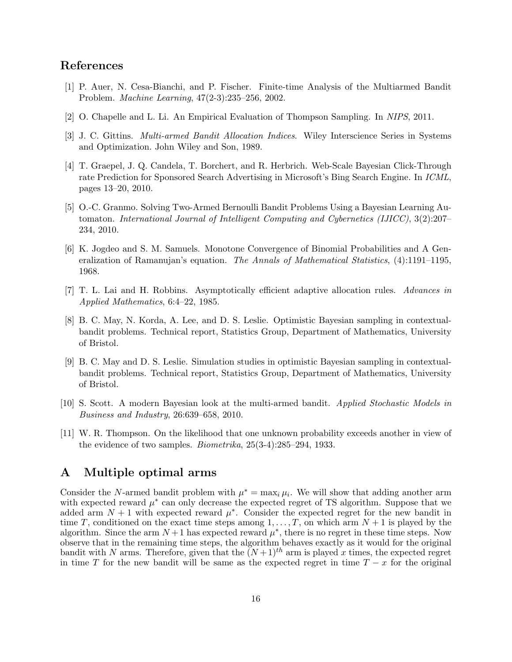# References

- <span id="page-16-1"></span>[1] P. Auer, N. Cesa-Bianchi, and P. Fischer. Finite-time Analysis of the Multiarmed Bandit Problem. Machine Learning, 47(2-3):235–256, 2002.
- <span id="page-16-6"></span>[2] O. Chapelle and L. Li. An Empirical Evaluation of Thompson Sampling. In NIPS, 2011.
- <span id="page-16-2"></span>[3] J. C. Gittins. Multi-armed Bandit Allocation Indices. Wiley Interscience Series in Systems and Optimization. John Wiley and Son, 1989.
- <span id="page-16-8"></span>[4] T. Graepel, J. Q. Candela, T. Borchert, and R. Herbrich. Web-Scale Bayesian Click-Through rate Prediction for Sponsored Search Advertising in Microsoft's Bing Search Engine. In ICML, pages 13–20, 2010.
- <span id="page-16-4"></span>[5] O.-C. Granmo. Solving Two-Armed Bernoulli Bandit Problems Using a Bayesian Learning Automaton. International Journal of Intelligent Computing and Cybernetics (IJICC), 3(2):207– 234, 2010.
- <span id="page-16-11"></span>[6] K. Jogdeo and S. M. Samuels. Monotone Convergence of Binomial Probabilities and A Generalization of Ramanujan's equation. The Annals of Mathematical Statistics, (4):1191–1195, 1968.
- <span id="page-16-0"></span>[7] T. L. Lai and H. Robbins. Asymptotically efficient adaptive allocation rules. Advances in Applied Mathematics, 6:4–22, 1985.
- <span id="page-16-9"></span>[8] B. C. May, N. Korda, A. Lee, and D. S. Leslie. Optimistic Bayesian sampling in contextualbandit problems. Technical report, Statistics Group, Department of Mathematics, University of Bristol.
- <span id="page-16-7"></span>[9] B. C. May and D. S. Leslie. Simulation studies in optimistic Bayesian sampling in contextualbandit problems. Technical report, Statistics Group, Department of Mathematics, University of Bristol.
- <span id="page-16-5"></span>[10] S. Scott. A modern Bayesian look at the multi-armed bandit. Applied Stochastic Models in Business and Industry, 26:639–658, 2010.
- <span id="page-16-3"></span>[11] W. R. Thompson. On the likelihood that one unknown probability exceeds another in view of the evidence of two samples. Biometrika, 25(3-4):285–294, 1933.

# <span id="page-16-10"></span>A Multiple optimal arms

Consider the N-armed bandit problem with  $\mu^* = \max_i \mu_i$ . We will show that adding another arm with expected reward  $\mu^*$  can only decrease the expected regret of TS algorithm. Suppose that we added arm  $N + 1$  with expected reward  $\mu^*$ . Consider the expected regret for the new bandit in time T, conditioned on the exact time steps among  $1, \ldots, T$ , on which arm  $N + 1$  is played by the algorithm. Since the arm  $N+1$  has expected reward  $\mu^*$ , there is no regret in these time steps. Now observe that in the remaining time steps, the algorithm behaves exactly as it would for the original bandit with N arms. Therefore, given that the  $(N+1)$ <sup>th</sup> arm is played x times, the expected regret in time T for the new bandit will be same as the expected regret in time  $T - x$  for the original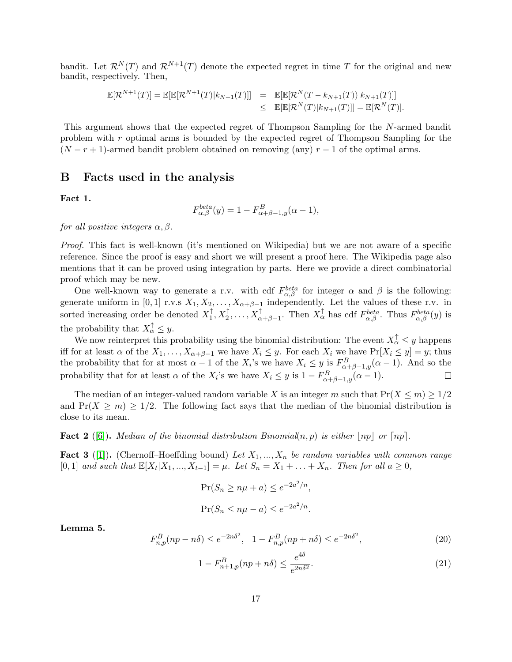bandit. Let  $\mathcal{R}^N(T)$  and  $\mathcal{R}^{N+1}(T)$  denote the expected regret in time T for the original and new bandit, respectively. Then,

$$
\mathbb{E}[\mathcal{R}^{N+1}(T)] = \mathbb{E}[\mathbb{E}[\mathcal{R}^{N+1}(T)|k_{N+1}(T)]] = \mathbb{E}[\mathbb{E}[\mathcal{R}^{N}(T - k_{N+1}(T))|k_{N+1}(T)]] \leq \mathbb{E}[\mathbb{E}[\mathcal{R}^{N}(T)|k_{N+1}(T)]] = \mathbb{E}[\mathcal{R}^{N}(T)].
$$

This argument shows that the expected regret of Thompson Sampling for the N-armed bandit problem with r optimal arms is bounded by the expected regret of Thompson Sampling for the  $(N - r + 1)$ -armed bandit problem obtained on removing (any)  $r - 1$  of the optimal arms.

### <span id="page-17-1"></span>B Facts used in the analysis

<span id="page-17-0"></span>Fact 1.

$$
F_{\alpha,\beta}^{beta}(y) = 1 - F_{\alpha+\beta-1,y}^{B}(\alpha - 1),
$$

for all positive integers  $\alpha, \beta$ .

Proof. This fact is well-known (it's mentioned on Wikipedia) but we are not aware of a specific reference. Since the proof is easy and short we will present a proof here. The Wikipedia page also mentions that it can be proved using integration by parts. Here we provide a direct combinatorial proof which may be new.

One well-known way to generate a r.v. with cdf  $F_{\alpha,\beta}^{beta}$  for integer  $\alpha$  and  $\beta$  is the following: generate uniform in [0, 1] r.v.s  $X_1, X_2, \ldots, X_{\alpha+\beta-1}$  independently. Let the values of these r.v. in sorted increasing order be denoted  $X_1^{\uparrow}$  $\int_1^{\uparrow} X_2^{\uparrow}, \ldots, X_{\alpha+\beta-1}^{\uparrow}$ . Then  $X_{\alpha}^{\uparrow}$  has cdf  $F_{\alpha,\beta}^{beta}$ . Thus  $F_{\alpha,\beta}^{beta}(y)$  is the probability that  $X_{\alpha}^{\uparrow} \leq y$ .

We now reinterpret this probability using the binomial distribution: The event  $X^{\uparrow}_{\alpha} \leq y$  happens iff for at least  $\alpha$  of the  $X_1, \ldots, X_{\alpha+\beta-1}$  we have  $X_i \leq y$ . For each  $X_i$  we have  $Pr[X_i \leq y] = y$ ; thus the probability that for at most  $\alpha - 1$  of the  $X_i$ 's we have  $X_i \leq y$  is  $F^B_{\alpha+\beta-1,y}(\alpha-1)$ . And so the probability that for at least  $\alpha$  of the  $X_i$ 's we have  $X_i \leq y$  is  $1 - F^B_{\alpha+\beta-1,y}(\alpha-1)$ .  $\Box$ 

The median of an integer-valued random variable X is an integer m such that  $Pr(X \le m) \ge 1/2$ and  $Pr(X \ge m) \ge 1/2$ . The following fact says that the median of the binomial distribution is close to its mean.

<span id="page-17-4"></span>**Fact 2** ([\[6\]](#page-16-11)). Median of the binomial distribution Binomial $(n, p)$  is either  $|np|$  or  $\lceil np \rceil$ .

<span id="page-17-2"></span>**Fact 3** ([\[1\]](#page-16-1)). (Chernoff-Hoeffding bound) Let  $X_1, ..., X_n$  be random variables with common range [0, 1] and such that  $\mathbb{E}[X_t|X_1,\ldots,X_{t-1}] = \mu$ . Let  $S_n = X_1 + \ldots + X_n$ . Then for all  $a \geq 0$ ,

$$
\Pr(S_n \ge n\mu + a) \le e^{-2a^2/n},
$$
  

$$
\Pr(S_n \le n\mu - a) \le e^{-2a^2/n}.
$$

<span id="page-17-3"></span>Lemma 5.

$$
F_{n,p}^{B}(np - n\delta) \le e^{-2n\delta^2}, \quad 1 - F_{n,p}^{B}(np + n\delta) \le e^{-2n\delta^2}, \tag{20}
$$

$$
1 - F_{n+1,p}^{B}(np + n\delta) \le \frac{e^{4\delta}}{e^{2n\delta^2}}.
$$
\n(21)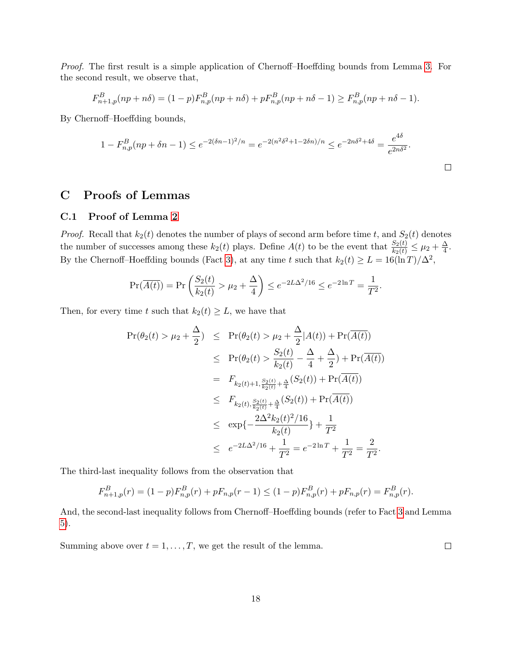Proof. The first result is a simple application of Chernoff–Hoeffding bounds from Lemma [3.](#page-17-2) For the second result, we observe that,

$$
F_{n+1,p}^{B}(np+n\delta) = (1-p)F_{n,p}^{B}(np+n\delta) + pF_{n,p}^{B}(np+n\delta-1) \ge F_{n,p}^{B}(np+n\delta-1).
$$

By Chernoff–Hoeffding bounds,

$$
1 - F_{n,p}^{B}(np + \delta n - 1) \le e^{-2(\delta n - 1)^{2}/n} = e^{-2(n^{2}\delta^{2} + 1 - 2\delta n)/n} \le e^{-2n\delta^{2} + 4\delta} = \frac{e^{4\delta}}{e^{2n\delta^{2}}}.
$$

# C Proofs of Lemmas

### <span id="page-18-0"></span>C.1 Proof of Lemma [2](#page-7-1)

*Proof.* Recall that  $k_2(t)$  denotes the number of plays of second arm before time t, and  $S_2(t)$  denotes the number of successes among these  $k_2(t)$  plays. Define  $A(t)$  to be the event that  $\frac{S_2(t)}{k_2(t)} \leq \mu_2 + \frac{\Delta}{4}$  $\frac{\Delta}{4}$ . By the Chernoff–Hoeffding bounds (Fact [3\)](#page-17-2), at any time t such that  $k_2(t) \geq L = 16(\ln T)/\Delta^2$ ,

$$
\Pr(\overline{A(t)}) = \Pr\left(\frac{S_2(t)}{k_2(t)} > \mu_2 + \frac{\Delta}{4}\right) \le e^{-2L\Delta^2/16} \le e^{-2\ln T} = \frac{1}{T^2}.
$$

Then, for every time t such that  $k_2(t) \geq L$ , we have that

$$
\begin{array}{rcl}\n\Pr(\theta_2(t) > \mu_2 + \frac{\Delta}{2}) & \leq & \Pr(\theta_2(t) > \mu_2 + \frac{\Delta}{2}|A(t)) + \Pr(\overline{A(t)}) \\
& \leq & \Pr(\theta_2(t) > \frac{S_2(t)}{k_2(t)} - \frac{\Delta}{4} + \frac{\Delta}{2}) + \Pr(\overline{A(t)}) \\
& = & F_{k_2(t)+1, \frac{S_2(t)}{k_2(t)} + \frac{\Delta}{4}}(S_2(t)) + \Pr(\overline{A(t)}) \\
& \leq & F_{k_2(t), \frac{S_2(t)}{k_2(t)} + \frac{\Delta}{4}}(S_2(t)) + \Pr(\overline{A(t)}) \\
& \leq & \exp\{-\frac{2\Delta^2 k_2(t)^2/16}{k_2(t)}\} + \frac{1}{T^2} \\
& \leq & e^{-2L\Delta^2/16} + \frac{1}{T^2} = e^{-2\ln T} + \frac{1}{T^2} = \frac{2}{T^2}.\n\end{array}
$$

The third-last inequality follows from the observation that

$$
F_{n+1,p}^B(r) = (1-p)F_{n,p}^B(r) + pF_{n,p}(r-1) \le (1-p)F_{n,p}^B(r) + pF_{n,p}(r) = F_{n,p}^B(r).
$$

And, the second-last inequality follows from Chernoff–Hoeffding bounds (refer to Fact [3](#page-17-2) and Lemma [5\)](#page-17-3).

Summing above over  $t = 1, ..., T$ , we get the result of the lemma.

 $\Box$